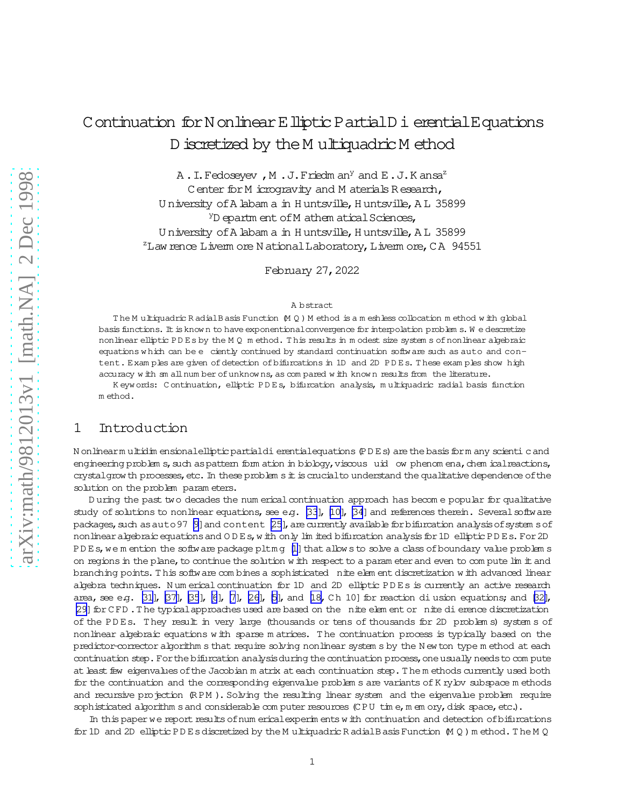# Continuation for N on linear E lliptic P artial D i erential E quations D iscretized by the M ultiquadric M ethod

A. I. Fedoseyev, M. J. Friedman<sup>y</sup> and E. J. Kansa<sup>z</sup>

Center for M icrogravity and M aterials Research, University of A labam a in Huntsville, Huntsville, A L 35899 <sup>y</sup>D epartm ent of M athem atical Sciences, University of A labam a in Huntsville, Huntsville, A L 35899 <sup>z</sup>Law rence Liverm ore National Laboratory, Liverm ore, CA 94551

February 27, 2022

#### A bstract

The Multiquadric Radial Basis Function (M Q) Method is a meshless collocation method with global basis functions. It is known to have exponentional convergence for interpolation problem s. We descretize nonlinear elliptic PDEs by the MQ method. This results in modest size systems of nonlinear algebraic equations which can be e ciently continued by standard continuation software such as auto and content. Exam ples are given of detection of bifurcations in 1D and 2D PDEs. These exam ples show high accuracy with sm all number of unknowns, as compared with known results from the literature.

Keywords: Continuation, elliptic PDEs, bifurcation analysis, multiquadric radial basis function method.

#### $\mathbf 1$ Introduction

N on linearm ultidim ensional elliptic partial di erential equations (PDEs) are the basis form any scienti cand engineering problem s, such as pattern form ation in biology, viscous uid ow phenom ena, chem ical reactions, crystal grow th processes, etc. In these problem s it is crucial to understand the qualitative dependence of the solution on the problem parameters.

During the past two decades the num erical continuation approach has become popular for qualitative study of solutions to nonlinear equations, see e.g. [33], [10], [34] and references therein. Several software packages, such as auto 97 [9] and content [25], are currently available for bifurcation analysis of system s of non linear algebraic equations and ODEs, with only limited bifurcation analysis for 1D elliptic PDEs. For 2D PDEs, we mention the software package pltmg [1] that allows to solve a class of boundary value problems on regions in the plane, to continue the solution with respect to a parameter and even to compute lim it and branching points. This software combines a sophisticated nite element discretization with advanced linear algebra techniques. Num erical continuation for 1D and 2D elliptic PDEs is currently an active research area, see e.g. [31], [37], [35], [6], [7], [26], [5], and [18, Ch 10] for reaction di usion equations; and [32], [29] for CFD. The typical approaches used are based on the nite element or nite di erence discretization of the PDEs. They result in very large (thousands or tens of thousands for 2D problem s) system s of nonlinear algebraic equations with sparse matrices. The continuation process is typically based on the predictor-corrector algorithm s that require solving nonlinear system s by the New ton type method at each continuation step. For the bifurcation analysis during the continuation process, one usually needs to compute at least few eigenvalues of the Jacobian m atrix at each continuation step. The m ethods currently used both for the continuation and the corresponding eigenvalue problem s are variants of K rylov subspace m ethods and recursive projection (RPM). Solving the resulting linear system and the eigenvalue problem require sophisticated algorithm s and considerable computer resources (CPU time, m em ory, disk space, etc.).

In this paper we report results of num erical experim ents with continuation and detection of bifurcations for 1D and 2D elliptic PDEs discretized by the M ultiquadric R adial B asis Function  $(MQ)$  m ethod. The M Q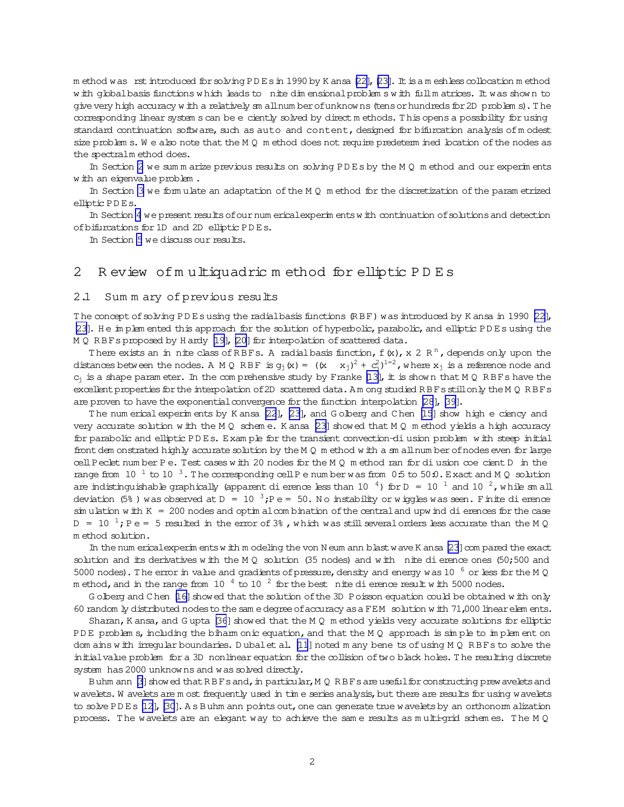m ethod was rst introduced for solving PD Es in 1990 by K ansa [\[22\]](#page-9-0), [\[23\]](#page-9-0). It is a m eshless collocation m ethod w ith globalbasis functions w hich leads to nite dim ensionalproblem s w ith fullm atrices. It was show n to give very high accuracy w ith a relatively sm all num ber of unknow ns (tens or hundreds for 2D problem s). The corresponding linear system s can be e ciently solved by direct m ethods. This opens a possibility for using standard continuation software, such as auto and content, designed for bifurcation analysis of modest size problem s. W e also note that the M Q m ethod does not require predeterm ined location of the nodes as the spectralm ethod does.

In Section 2 we sum m arize previous results on solving PD Es by the M Q m ethod and our experim ents w ith an eigenvalue problem .

In Section [3](#page-3-0) we form ulate an adaptation ofthe M Q m ethod for the discretization ofthe param etrized elliptic PD Es.

In Section [4](#page-5-0) we present results of our num erical experim ents w ith continuation of solutions and detection ofbifurcations for 1D and 2D elliptic PD Es.

In Section [5](#page-7-0) we discuss our results.

# 2 R eview ofm ultiquadric m ethod for elliptic P D E s

### 2.1 Sum m ary of previous results

The concept of solving PD Es using the radialbasis functions (RBF) was introduced by K ansa in 1990 [\[22\]](#page-9-0), [\[23\]](#page-9-0). He im plem ented this approach for the solution of hyperbolic, parabolic, and elliptic PD Es using the M Q RBFs proposed by H ardy [\[19\]](#page-9-0), [\[20\]](#page-9-0) for interpolation of scattered data.

There exists an in nite class of RBFs. A radial basis function, f  $(x)$ , x 2 R<sup>n</sup>, depends only upon the distances between the nodes. A M Q RBF is  $g_j(x) = ((x - x_j)^2 + c_j^2)^{1=2}$ , where  $x_j$  is a reference node and  $c_j$  is a shape param eter. In the com prehensive study by Franke [\[13\]](#page-9-0), it is show n that M Q R BFs have the excellent properties for the interpolation of 2D scattered data. A m ong studied R BFs still only the M Q R BFs are proven to have the exponential convergence for the function interpolation [\[28](#page-9-0)], [\[39\]](#page-10-0).

The num erical experim ents by K ansa [\[22](#page-9-0)], [\[23](#page-9-0)], and G olberg and C hen [\[15\]](#page-9-0) show high e ciency and very accurate solution w ith the M Q schem e. K ansa [\[23\]](#page-9-0) showed that M Q m ethod yields a high accuracy for parabolic and elliptic PD Es. Exam ple for the transient convection-diusion problem with steep initial front dem onstrated highly accurate solution by the M Q m ethod w ith a sm all num ber of nodes even for large cellPeclet num ber P e. Test cases w ith 20 nodes for the M Q m ethod ran for diusion coecient D in the range from 10  $^1$  to 10  $^3$ . The corresponding cell P e num ber was from 0.5 to 50:0. Exact and M Q solution are indistinguishable graphically (apparent dierence less than 10  $^4$ ) for D = 10  $^1$  and 10  $^2$ , while sm all deviation (5%) was observed at D = 10  $^{3}$ ;P e = 50. N o instability or w iggles was seen. Finite dierence  $\sin u$  ulation w ith K = 200 nodes and optim alcom bination of the central and upw ind dierences for the case  $D = 10^{-1}$ ; P e = 5 resulted in the error of 3%, which was still several orders less accurate than the M Q m ethod solution.

In the num erical experim ents w ith m odeling the von N eum ann blast w ave K ansa [\[23](#page-9-0)] com pared the exact solution and its derivatives w ith the M Q solution (35 nodes) and w ith nite dierence ones (50;500 and 5000 nodes). The error in value and gradients of pressure, density and energy was 10  $^6$  or less for the M Q m ethod, and in the range from 10  $^4$  to 10  $^2$  for the best nite dierence result with 5000 nodes.

G olberg and C hen [\[16\]](#page-9-0) showed that the solution of the 3D P oisson equation could be obtained w ith only 60 random ly distributed nodesto thesam edegreeofaccuracy asa FEM solution w ith 71,000 linearelem ents.

Sharan, K ansa, and G upta  $[36]$  showed that the M Q m ethod yields very accurate solutions for elliptic PDE problem s, including the biharm onic equation, and that the M Q approach is simple to implem ent on dom ains w ith irregular boundaries. D ubal et al. [\[11](#page-9-0)] noted m any bene ts of using M Q R BFs to solve the initialvalue problem for a 3D nonlinear equation for the collision oftwo black holes. T he resulting discrete system has 2000 unknow ns and was solved directly.

Buhm ann [\[3\]](#page-8-0) showed that RBFs and, in particular, M Q RBFs are useful for constructing prew avelets and w avelets. W avelets are m ost frequently used in tim e series analysis, but there are results for using wavelets to solve PD Es [\[12\]](#page-9-0), [\[30](#page-10-0)]. A s Buhm ann points out, one can generate true wavelets by an orthonorm alization process. The wavelets are an elegant way to achieve the sam e results as multi-grid schem es. The M Q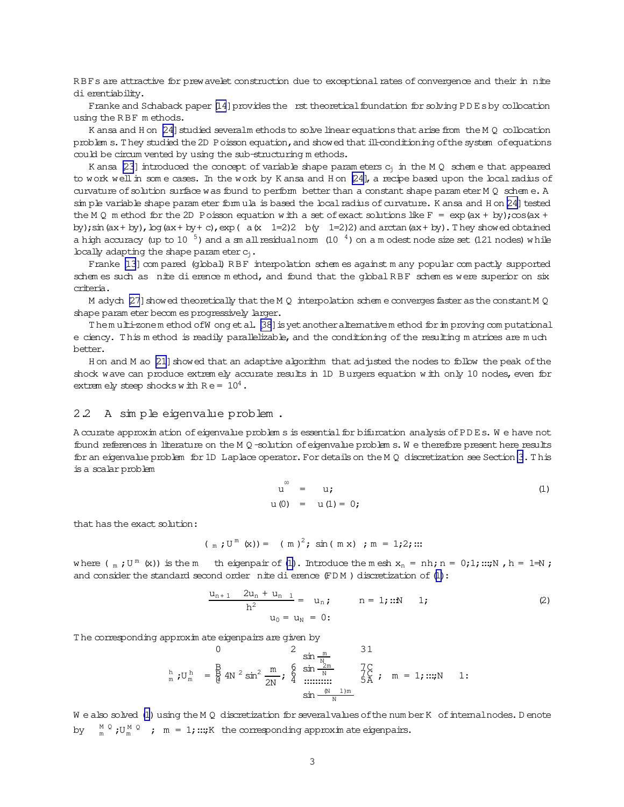RBFs are attractive for prew avelet construction due to exceptional rates of convergence and their in nite dierentiability.

Franke and Schaback paper [\[14](#page-9-0)] provides the rst theoretical foundation for solving PD Esby collocation using the R BF m ethods.

K ansa and H on  $[24]$  studied severalm ethods to solve linear equations that arise from the M  $Q$  collocation problem s. They studied the 2D Poisson equation, and showed that ill-conditioning of the system of equations could be circum vented by using the sub-structuring m ethods.

K ansa [\[23](#page-9-0)] introduced the concept of variable shape param eters  $c_j$  in the M Q schem e that appeared to work well in som e cases. In the work by K ansa and H on [\[24\]](#page-9-0), a recipe based upon the local radius of curvature of solution surface was found to perform better than a constant shape param eter M  $Q$  schem e. A sim ple variable shape param eter form ula is based the local radius of curvature. K ansa and H on [\[24\]](#page-9-0) tested the M Q m ethod for the 2D Poisson equation w ith a set of exact solutions like F =  $\exp(ax + by)$ ; $\cos(ax +$ by);  $\sin(ax + by)$ ,  $\log(ax + by + c)$ ,  $\exp(a(x 1=2)2 b(y 1=2)2)$  and  $\arctan(ax + by)$ . They showed obtained a high accuracy (up to 10  $^5$ ) and a sm all residualnorm (10  $^4$ ) on a m odest node size set (121 nodes) w hile locally adapting the shape param eter  $c_i$ .

Franke [\[13](#page-9-0)] com pared (global) R B F interpolation schem es against m any popular com pactly supported schem es such as nite dierence m ethod, and found that the global RBF schem es were superior on six criteria.

M adych [\[27](#page-9-0)] showed theoretically that the M Q interpolation schem e converges faster as the constant M Q shape param eter becom es progressively larger.

Them ulti-zonem ethod ofW ong et al. [\[38](#page-10-0)] is yet another alternativem ethod for im proving com putational e ciency. This m ethod is readily parallelizable, and the conditioning of the resulting m atrices are much better.

H on and M ao [\[21](#page-9-0)] showed that an adaptive algorithm that adjusted the nodes to follow the peak of the shock wave can produce extrem ely accurate results in 1D Burgers equation w ith only 10 nodes, even for extrem ely steep shocks w ith  $Re = 10^4$ .

### 2.2 A sim ple eigenvalue problem .

A ccurate approxim ation of eigenvalue problem s is essential for bifurcation analysis of PDEs. We have not found references in literature on the M Q -solution of eigenvalue problem s. W e therefore present here results foran eigenvalue problem for1D Laplace operator.Fordetailson the M Q discretization see Section [3](#page-3-0).T his is a scalarproblem

$$
u^{\infty} = u;
$$
  
u(0) = u(1) = 0; (1)

that has the exact solution:

$$
(\text{m } j \text{U}^{\text{m}} \text{ (x)}) = (\text{m })^2
$$
; sin (m x) ; m = 1;2; ...

where  $(\mathbf{m} \cdot \mathbf{U}^{\mathsf{m}}(\mathbf{x}))$  is the  $\mathsf{m}$  th eigenpair of (1). Introduce the  $\mathsf{m}$  esh  $x_n = \mathsf{nh}; n = 0; 1; \dots; N$ ,  $h = 1 \neq N$ ; and consider the standard second order nite dierence  $(FDM)$  discretization of  $(1)$ :

$$
\frac{u_{n+1} - 2u_n + u_{n-1}}{h^2} = u_n; \qquad n = 1;::N \qquad 1; \qquad (2)
$$
  

$$
u_0 = u_N = 0;
$$

The corresponding approxim ate eigenpairs are given by

h <sup>m</sup> ;U <sup>h</sup> <sup>m</sup> = 0 B B @ 4N <sup>2</sup> sin<sup>2</sup> m 2N ; 2 6 6 4 sin m N sin <sup>2</sup><sup>m</sup> N :::::::::: sin (<sup>N</sup> 1)<sup>m</sup> N 3 7 7 5 1 C C A ; m = 1;:::;N 1:

W e also solved (1) using the M Q discretization for several values of the num ber K of internal nodes. D enote by  $M \circ \mathcal{U}^M \circ \mathcal{U}^M \circ \mathcal{U}^M \circ \mathcal{U}^M$  is  $M = 1$ ;:::;K the corresponding approximate eigenpairs.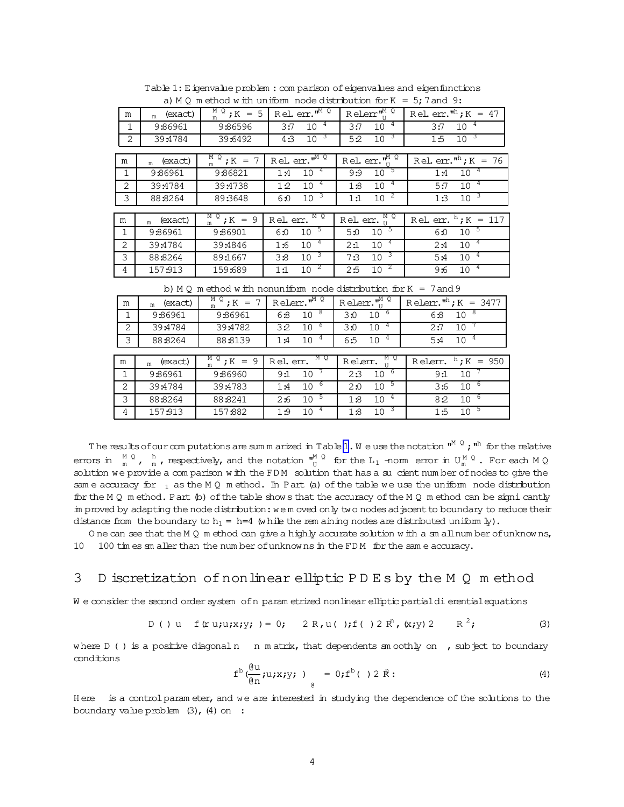<span id="page-3-0"></span>

| $\alpha$ , in $\alpha$ in equal with uniform those distribution for $\alpha$<br>$ Jr$ and $Jr$ . |             |                                         |                                                     |                                                                |                                                |  |  |
|--------------------------------------------------------------------------------------------------|-------------|-----------------------------------------|-----------------------------------------------------|----------------------------------------------------------------|------------------------------------------------|--|--|
| m                                                                                                | $m$ (exact) | $\frac{M}{m}$ $\frac{Q}{I}$ ; K = 5     | $R$ el. err. $\overline{r^M}$ <sup>Q</sup>          | $R$ elerr $\mathbf{w}_{\textrm{H}}^{\textrm{M}}$ $\frac{Q}{H}$ | Rel. err. $^{\mathsf{nh}}$ ; K = 47            |  |  |
| $\mathbf{1}$                                                                                     | 9:86961     | 9:86596                                 | $10^{-4}$<br>3:7                                    | $10^{-4}$<br>3:7                                               | $10^{-4}$<br>3:7                               |  |  |
| 2                                                                                                | 39:4784     | 39:6492                                 | 10 <sup>3</sup><br>4:3                              | 10 <sup>3</sup><br>5:2                                         | 10 <sup>3</sup><br>1:5                         |  |  |
|                                                                                                  |             |                                         |                                                     |                                                                |                                                |  |  |
| m                                                                                                | (exact)     | $M_{\text{m}}$ $\overline{g}$ ; $K = 7$ | $R$ el. err. $\mathbf{w}^{\mathbf{M}^{\mathbb{Q}}}$ | Rel. err. $\mathbf{w}^{\mathbf{M}}$ $\mathbf{Q}$               | Rel. err. <sup><math>n^h</math></sup> ; K = 76 |  |  |
| $\mathbf{1}$                                                                                     | 9:86961     | 9:86821                                 | $10^{-4}$<br>1:4                                    | $10^{-5}$<br>9:9                                               | $10^{-4}$<br>1:4                               |  |  |
| 2                                                                                                | 39:4784     | 39:4738                                 | $10^{-4}$<br>1:2                                    | $10^{-4}$<br>1:8                                               | $10^{-4}$<br>5:7                               |  |  |
| 3                                                                                                | 88:8264     | 89:3648                                 | 10 <sup>3</sup><br>6:0                              | $10^{-2}$<br>1:1                                               | 10 <sup>3</sup><br>1:3                         |  |  |
|                                                                                                  |             |                                         |                                                     |                                                                |                                                |  |  |
| m                                                                                                | $m$ (exact) | $M_{m}^{\text{M}}$ 2 ; K = 9            | Rel. err. NO                                        | Rel. err. $_{II}^M$ <sup>0</sup>                               | Rel. err. $^{h}$ ; K = 117                     |  |  |
| $\mathbf{1}$                                                                                     | 9:86961     | 9:86901                                 | 5<br>10 <sup>°</sup><br>6:0                         | $10^{-5}$<br>5:0                                               | $10^{-5}$<br>6:0                               |  |  |
| $\overline{2}$                                                                                   | 39:4784     | 39:4846                                 | $10^{-4}$<br>1:6                                    | $10^{-4}$<br>2:1                                               | $10^{-4}$<br>2:4                               |  |  |
| 3                                                                                                | 88:8264     | 89:1667                                 | 10 <sup>3</sup><br>3:8                              | 10 <sup>3</sup><br>7:3                                         | $10^{-4}$<br>5:4                               |  |  |
| 4                                                                                                | 157:913     | 159:689                                 | $\overline{c}$<br>10<br>1:1                         | $10^{-2}$<br>2:5                                               | $10^{-4}$<br>9:6                               |  |  |

Table 1: Eigenvalue problem : com parison of eigenvalues and eigenfunctions<br> $\frac{1 \times 100 \text{ m}}{2 \times 2 \times 2 \times 1000 \text{ m}}$  and  $\frac{1 \times 1000 \text{ m}}{2 \times 2 \times 1000 \text{ m}}$ a)  $M \cap m$  athod w th uniform node distribution for  $K =$ 

b)  $M Q$  m ethod w ith nonuniform node distribution for  $K = 7$  and 9

| m              | (exact)<br>m | M Q<br>$; K = 7$<br>m | Relerr. $^{\mathsf{m}^{\mathrm{M}}}$ $^{\overline{\mathbb{Q}}}$ | Relerr. $\sqrt[m]{\frac{M}{n}}$          | Relerr. $^{\mathsf{nh}}$ ; K = 3477 |  |
|----------------|--------------|-----------------------|-----------------------------------------------------------------|------------------------------------------|-------------------------------------|--|
|                | 9:86961      | 9:86961               | 8<br>10<br>6:8                                                  | - 6<br>10<br>3:0                         | 10 <sup>8</sup><br>6:8              |  |
| 2              | 39:4784      | 39:4782               | 6<br>10 <sup>°</sup><br>3:2                                     | 10<br>3:0                                | 10<br>2:7                           |  |
| 3              | 88:8264      | 88:8139               | 4<br>10<br>1:4                                                  | 4 <sup>1</sup><br>10 <sup>°</sup><br>6:5 | 10<br>5:4                           |  |
|                |              |                       |                                                                 |                                          |                                     |  |
| m              | (exact)<br>m | M Q<br>$: K = 9$      | M Q<br>Rel. err.                                                | M Q<br>Relerr.                           | $\mathrm{F}$ ; K = 950<br>Relerr.   |  |
|                | 9:86961      | 9:86960               | 9:1<br>10                                                       | 6<br>10<br>2:3                           | 9:1<br>10                           |  |
| 2              | 39:4784      | 39:4783               | 10<br>6<br>1:4                                                  | $10^{-5}$<br>2:0                         | $10^{-6}$<br>3:6                    |  |
| 3              | 88:8264      | 88:8241               | 10<br>C<br>2:6                                                  | $\overline{4}$<br>10<br>1:8              | $10^{-6}$<br>8:2                    |  |
| $\overline{4}$ | 157:913      | 157:882               | 4<br>10<br>1:9                                                  | $10^{-3}$<br>1:8                         | 5<br>10 <sup>1</sup><br>1:5         |  |

The results of our com putations are sum m arized in Table 1. We use the notation  $^{\mathfrak{m}^M=Q}$  ;  $^{\mathfrak{m}^h}$  for the relative errors in  $M\circ N$ ,  $M\circ N$  , respectively, and the notation  $W_0^M\circ N$  for the  $L_1$  -norm error in  $U_m^M\circ N$ . For each  $M\circ Q$ solution we provide a com parison w ith the FD M solution that has a sucient num ber ofnodes to give the sam e accuracy for  $_1$  as the M Q m ethod. In Part (a) of the table we use the uniform node distribution for the M  $Q$  m ethod. Part  $(p)$  of the table show s that the accuracy of the M  $Q$  m ethod can be signi cantly im proved by adapting the node distribution: we m oved only two nodes adjacent to boundary to reduce their distance from the boundary to  $h_1 = h=4$  (while the rem aining nodes are distributed uniform ly).

O ne can see that the M Q m ethod can give a highly accurate solution w ith a sm all num ber of unknow ns, 10 100 tim es sm aller than the num ber ofunknow ns in the FD M for the sam e accuracy.

# 3 D iscretization ofnonlinear elliptic P D E s by the M Q m ethod

W e consider the second order system of n param etrized nonlinear elliptic partial di erential equations

D ( )u f(r u;u;x;y;)= 0; 2 R,u( );f( )2 R <sup>n</sup> ,(x;y)2 R <sup>2</sup>; (3)

where  $D$  ( ) is a positive diagonaln n m atrix, that dependents sm oothly on, subject to boundary conditions

$$
f^{b} \left( \frac{\partial u}{\partial n} ; u ; x ; y ; \right) = 0 ; f^{b} \left( \right) 2 \dot{R} ; \tag{4}
$$

H ere is a control param eter, and we are interested in studying the dependence of the solutions to the boundary value problem  $(3)$ ,  $(4)$  on :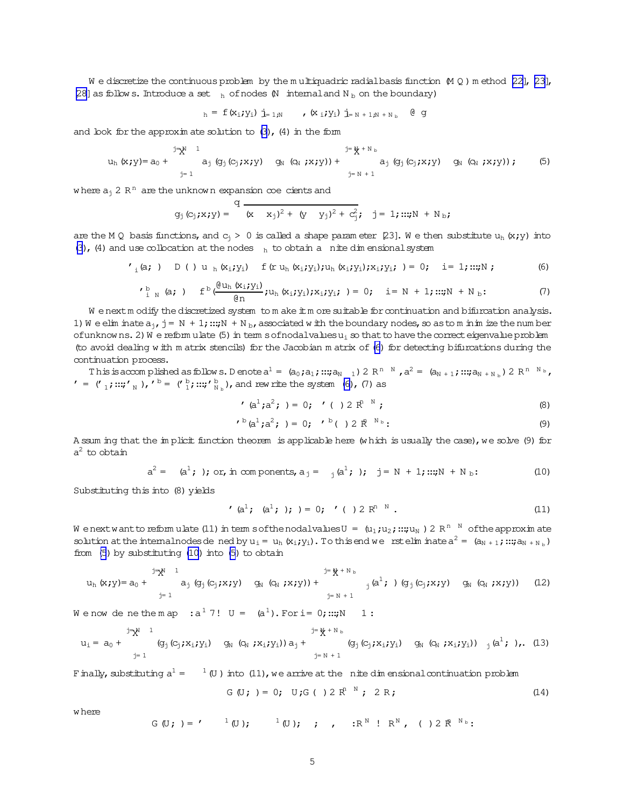<span id="page-4-0"></span>W e discretize the continuous problem by the m ultiquadric radial basis function  $(M Q)$  m ethod [\[22\]](#page-9-0), [\[23\]](#page-9-0), [\[28\]](#page-9-0) as follow s. Introduce a set  $_{h}$  of nodes  $M$  internal and  $N_b$  on the boundary)

$$
h = f(x_i; y_i) \mathbf{j}_{=1;N} \qquad , (x_i; y_i) \mathbf{j}_{=N+1;N+N} \qquad \text{or} \qquad g
$$

and look for the approxim ate solution to  $(3)$ ,  $(4)$  in the form

uh(x;y)= a<sup>0</sup> + <sup>j</sup><sup>=</sup> <sup>N</sup> <sup>1</sup> X j= 1 a<sup>j</sup> (gj(cj;x;y) g<sup>N</sup> (c<sup>N</sup> ;x;y))+ <sup>j</sup><sup>=</sup> X N + N <sup>b</sup> j= N + 1 a<sup>j</sup> (gj(cj;x;y) g<sup>N</sup> (c<sup>N</sup> ;x;y)); (5)

where  $a_j$  2  $R^{\text{n}}$  are the unknown expansion coe-cients and

$$
g_j(c_j; x; y) =
$$
 
$$
\frac{q}{(x - x_j)^2 + (y - y_j)^2 + c_j^2}; \quad j = 1; \dots; N + N_b;
$$

are the M Q basis functions, and  $c_j > 0$  is called a shape param eter [23]. We then substitute  $u_h(x,y)$  into [\(3\)](#page-3-0), (4) and use collocation at the nodes  $h$  to obtain a nite dim ensional system

$$
I_i(a; ) D () u_h(x_i; y_i) f(r u_h(x_i; y_i); u_h(x_i; y_i); x_i; y_i; ) = 0; i = 1; ...; N ; \qquad (6)
$$

$$
I_{i,N}^{b} (a; ) f^{b} \frac{(\theta u_{h}(x_{i}; y_{i})}{\theta n}; u_{h}(x_{i}; y_{i}); x_{i}; y_{i}; ) = 0; i = N + 1; ...; N + N_{b}; \qquad (7)
$$

W enextm odify the discretized system to m ake it m ore suitable for continuation and bifurcation analysis. 1) W e elim inate  $a_{j}$ ,  $j = N + 1$ ;:::;N + N b, associated w ith the boundary nodes, so as to m inim ize the num ber ofunknow ns. 2) W e reform ulate (5) in term sofnodalvalues  $u_i$  so that to have the correct eigenvalue problem (to avoid dealing w ith m atrix stencils) for the Jacobian m atrix of(6) for detecting bifurcations during the continuation process.

This is accomplished as follows. Denote  $a^1 = (a_0, a_1, ...; a_{N-1}) 2 R^{n-N}$  ,  $a^2 = (a_{N+1}, ...; a_{N+N_{D}}) 2 R^{n-N_{D}}$ ,  $' = ('_1;::;"_N),' ' = ('_1';::;"_N, b),$  and rew rite the system (6), (7) as

$$
(\mathsf{a}^1; \mathsf{a}^2; ) = 0; \quad ( ) 2 \; \mathsf{R}^{\mathsf{R}} \quad \mathsf{N} \tag{8}
$$

$$
I^{\text{b}}(a^{1};a^{2}; ) = 0; I^{\text{b}}( ) 2 \, \mathbb{R}^{\text{N}_{\text{b}}}:
$$
 (9)

A ssum ing that the im plicit function theorem is applicable here (w hich is usually the case), we solve (9) for  $a^2$  to obtain

$$
a^{2} = (a^{1}; )
$$
; or, in components,  $a_{j} = (a^{1}; )$ ;  $j = N + 1$ ; ...;  $N + N_{b}$ : (10)

Substituting this into (8) yields

$$
(\mathsf{a}^{1}; \ \mathsf{(a}^{1}; \ ); \ )=0; \ \ ^{r}(\ )\ 2\ \mathsf{R}^{n}.
$$

We nextwant to reform ulate (11) in term softhe nodalvalues  $\mathtt{U}$  =  $\,$  (u<sub>1</sub>;u<sub>2</sub>;:::;u<sub>N</sub> ) 2 R<sup>n N</sup> of the approximate solution at the internal nodes dened by  $u_i = u_h(x_i; y_i)$ . To this end we rstelim inate  $a^2 = (a_{N+1}; ...; a_{N+N_b})$ from (5) by substituting (10) into (5) to obtain

uh(x;y)= a<sup>0</sup> + <sup>j</sup><sup>=</sup> <sup>N</sup> <sup>1</sup> X j= 1 a<sup>j</sup> (gj(cj;x;y) g<sup>N</sup> (c<sup>N</sup> ;x;y))+ <sup>j</sup><sup>=</sup> X N + N <sup>b</sup> j= N + 1 <sup>j</sup>(a <sup>1</sup>;)(gj(cj;x;y) g<sup>N</sup> (c<sup>N</sup> ;x;y)) (12)

We now de nethem ap  $:a^1 7!$  U =  $(a^1)$ . For i= 0;:::;N 1:

$$
u_{i} = a_{0} + \bigvee_{j=1}^{j=\aleph} (g_{j}(c_{j}; x_{i}; y_{i}) \quad q_{N}(c_{N}; x_{i}; y_{i})) a_{j} + \bigvee_{j=N+1}^{j=\aleph + N_{b}} (g_{j}(c_{j}; x_{i}; y_{i}) \quad q_{N}(c_{N}; x_{i}; y_{i})) \bigwedge_{j}(a^{1}; \cdot), \quad (13)
$$

Finally, substituting  $a^1 =$  $1$  (U) into (11), we arrive at the nite dim ensional continuation problem

$$
G(U; ) = 0; U; G() 2 Rn N; 2 R;
$$
 (14)

w here

$$
G(U; ) = ' ^1(U);
$$
  $^1(U);$   $i$ ,  $i$ ,  $iR^N$   $i R^N$ ,  $( ) 2 R^{N_0}$ :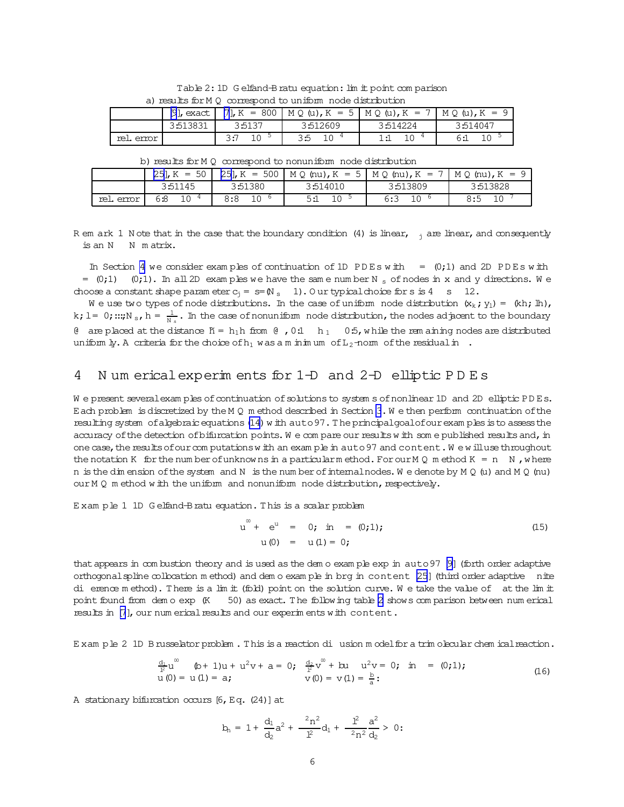<span id="page-5-0"></span>

|           | a) results for M V correspond to unlimit node distribution |        |          |                                                                                                           |          |  |  |  |  |
|-----------|------------------------------------------------------------|--------|----------|-----------------------------------------------------------------------------------------------------------|----------|--|--|--|--|
|           |                                                            |        |          | [9], exact $\begin{bmatrix} 7 \end{bmatrix}$ , K = 800   M Q (u), K = 5   M Q (u), K = 7   M Q (u), K = 9 |          |  |  |  |  |
|           | 3:513831                                                   | 3:5137 | 3:512609 | 3:514224                                                                                                  | 3:514047 |  |  |  |  |
| rel error | 6:1                                                        |        |          |                                                                                                           |          |  |  |  |  |

Table 2: 1D G elfand-B ratu equation: lim it point comparison  $mod +$  $-46.$ 

b) results for M 0 correspond to nonuniform node distribution

|           | $[25]$ , K = 50       |         |           | $[25]$ , K = 500   M Q (nu), K = 5   M Q (nu), K = 7   M Q (nu), K = 9 |          |
|-----------|-----------------------|---------|-----------|------------------------------------------------------------------------|----------|
|           | 3:51145               | 3:51380 | 3:514010  | 3:513809                                                               | 3:513828 |
| rel error | 1 <sub>0</sub><br>6:8 | 8:8     | 10<br>5:1 | 10<br>6:3                                                              | 8:5      |

R em ark 1 N ote that in the case that the boundary condition (4) is linear,  $\frac{1}{1}$  are linear, and consequently is an N N matrix.

In Section 4 we consider examples of continuation of 1D PDEs with  $=$  (0;1) and 2D PDEs with  $=$  (0;1) (0;1). In all 2D exam ples we have the same number N s of nodes in x and y directions. We choose a constant shape parameter  $c_1 = s = (N_s \t1)$ . Our typical choice for s is 4 s 12.

We use two types of node distributions. In the case of uniform node distribution  $(x_k; y_1) = (kh; lh)$ , k; l = 0; ...; N<sub>s</sub>, h =  $\frac{1}{N_s}$ . In the case of nonuniform node distribution, the nodes adjacent to the boundary 0 are placed at the distance  $N = h_1 h$  from 0,0.1  $h_1$  0.5, while the rem aining nodes are distributed uniform  $\mu$ . A criteria for the choice of  $h_1$  was a m in m um of  $L_2$ -norm of the residual in.

#### 4 Num erical experim ents for 1-D and 2-D elliptic PDEs

We present several examples of continuation of solutions to system s of nonlinear 1D and 2D elliptic PDEs. Each problem is discretized by the M 0 m ethod described in Section 3. W e then perform continuation of the resulting system of algebraic equations (14) with auto 97. The principal goal of our exam ples is to assess the accuracy of the detection of bifurcation points. We compare our results with some published results and, in one case, the results of our computations with an example in auto 97 and content. We will use throughout the notation K for the number of unknowns in a particular method. For our M Q method K = n N, where n is the dimension of the system and N is the number of internal nodes. We denote by  $M Q (u)$  and  $M Q (nu)$ our M Q m ethod w ith the uniform and nonuniform node distribution, respectively.

Exam ple 1 1D Gelfand-Bratu equation. This is a scalar problem

$$
u^{\omega} + e^{u} = 0; \text{ in } = (0,1);
$$
  
u(0) = u(1) = 0; (15)

that appears in combustion theory and is used as the demo example exp in auto 97 [9] (forth order adaptive orthogonal spline collocation method) and demo example in brg in content [25] (third order adaptive nite di erence method). There is a lim it (fold) point on the solution curve. We take the value of at the lim it 50) as exact. The following table 2 shows comparison between num erical point found from demo exp (K results in [7], our num erical results and our experiments with content.

Exam ple 2 1D Brusselator problem. This is a reaction di usion model for a trim olecular chem ical reaction.

$$
\frac{d_1}{l^2}u^0
$$
 (b+1)u + u<sup>2</sup>v + a = 0;  $\frac{d_2}{l^2}v^0$  + bu  $u^2v$  = 0; in = (0;1);  
u(0) = u(1) = a;  $v(0) = v(1) = \frac{b}{a}$ : (16)

A stationary bifurcation occurs [6, Eq. (24)] at

$$
b_n = 1 + \frac{d_1}{d_2}a^2 + \frac{2n^2}{l^2}d_1 + \frac{l^2}{2n^2}\frac{a^2}{d_2} > 0:
$$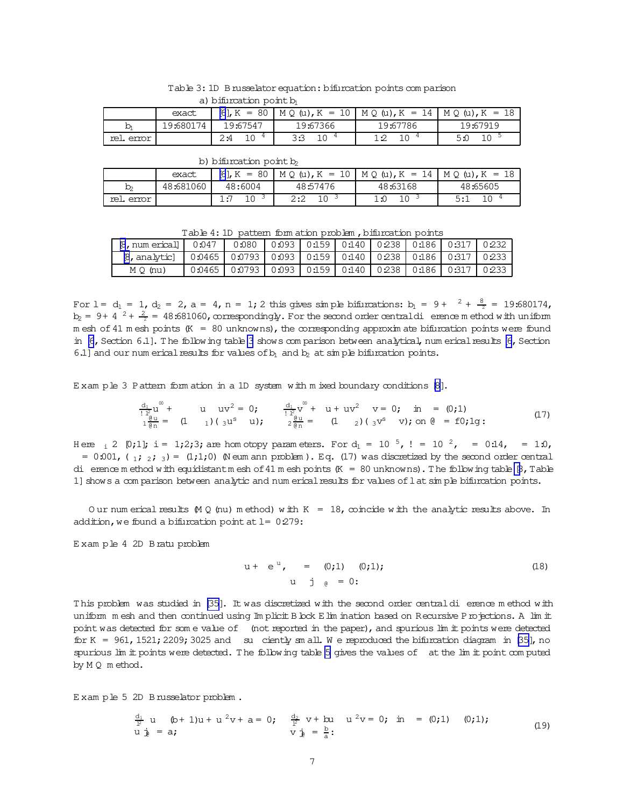|           | a) puncauli policin |           |          |                                                                   |          |  |  |  |  |
|-----------|---------------------|-----------|----------|-------------------------------------------------------------------|----------|--|--|--|--|
|           | exact               |           |          | [6], K = 80   M Q (u), K = 10   M Q (u), K = 14   M Q (u), K = 18 |          |  |  |  |  |
| b         | 19:680174           | 19:67547  | 19:67366 | 19:67786                                                          | 19:67919 |  |  |  |  |
| rel error |                     | 10<br>2:4 | っこ       | 10<br>າ •ລ                                                        | 5:0      |  |  |  |  |

| Table 3: 1D B russelator equation: bifurcation points comparison |  |  |
|------------------------------------------------------------------|--|--|
| a) bifurcation point b                                           |  |  |

|  | b) bifurcation point b |                                                          |  |
|--|------------------------|----------------------------------------------------------|--|
|  |                        | exact. [6] $K = 80$   M $\odot$ (u) $K = 10$   M $\odot$ |  |

|            | exact     | $[6]$ , K =<br>80 | $M \circ \omega$ , $K = 10$ | $M Q(u), K = 14$ | $MO(U)$ , $K = 18$ |
|------------|-----------|-------------------|-----------------------------|------------------|--------------------|
| D)         | 48:681060 | 48:6004           | 48:57476                    | 48:63168         | 48:65605           |
| rel. error |           |                   | ے ۔                         | ∸⊷               |                    |

Table 4: 1D pattern form ation problem, bifurcation points

| $\beta$ , num ericall | 0:047                                                           | 0.080             | 0:093   0:159   0:140   0:238   0:186   0:317 |  |  | 0:232 |
|-----------------------|-----------------------------------------------------------------|-------------------|-----------------------------------------------|--|--|-------|
| 18, analytic]         | 0.0465   0.0793   0.093   0.159   0.140   0.238   0.186   0.317 |                   |                                               |  |  | 0.233 |
| $M \circ (nu)$        |                                                                 | $0.0465$   0.0793 | 0:093   0:159   0:140   0:238   0:186   0:317 |  |  | 0.233 |

For  $1 = d_1 = 1$ ,  $d_2 = 2$ ,  $a = 4$ ,  $n = 1$ ; 2 this gives simple bifurcations:  $b_1 = 9 + \frac{2}{1} + \frac{8}{2} = 19:680174$ ,  $b_2$  = 9+ 4  $^2 + \frac{2}{3}$  = 48:681060, correspondingly. For the second order centraldi erence m ethod with uniform m esh of 41 m esh points (K = 80 unknowns), the corresponding approxim ate bifurcation points were found in [\[6](#page-8-0), Section 6.1]. The following table 3 shows com parison between analytical, num erical results [6, Section 6.1] and our num erical results for values of  $b_1$  and  $b_2$  at simple bifurcation points.

E xam ple 3 Pattern form ation in a 1D system with m ixed boundary conditions [\[8\]](#page-8-0).

$$
\frac{d_1}{1\frac{12}{6}}u^{\infty} + u uv^{2} = 0; \frac{d_1}{1\frac{12}{6}}v^{\infty} + u + uv^{2} v = 0; \text{ in } = (0,1)
$$
  
\n
$$
\frac{d_1}{1\frac{12}{6}}u = (1 \quad 1)(3u^{s} \quad u); \frac{2}{2\frac{12}{6}}u = (1 \quad 2)(3v^{s} \quad v); \text{ on } \theta = f0; 1g: \tag{17}
$$

H ere  $\frac{1}{2}$  [0;1]; i = 1;2;3; are hom otopy param eters. For  $d_1 = 10^{-5}$ ,  $l = 10^{-2}$ , = 0.14, = 1:0, =  $0.001$ , ( $1$ ;  $2$ ; 3) = (1;1;0) (N eum ann problem ). Eq. (17) was discretized by the second order central di erence m ethod with equidistant m esh of 41 m esh points  $(K = 80 \text{ unknowns})$ . The following table  $[8, T]$ able 1] shows a com parison between analytic and num erical results for values of lat simple bifurcation points.

Our num erical results  $(M Q \text{ (nu)}$  m ethod) w ith K = 18, coincide w ith the analytic results above. In addition, we found a bifurcation point at  $l= 0:279$ :

E xam ple 4 2D Bratu problem

$$
u + e^{u}, = (0,1) (0,1);
$$
  
\n
$$
u \quad j e = 0;
$$
 (18)

This problem was studied in [\[35\]](#page-10-0). It was discretized with the second order centraldi erence m ethod with uniform m esh and then continued using Im plicit B bok E lim ination based on Recursive Projections. A lim it point was detected for som e value of (not reported in the paper), and spurious lim it points were detected for K = 961, 1521; 2209; 3025 and su ciently sm all. We reproduced the bifurcation diagram in [\[35\]](#page-10-0), no spurious lim it points were detected. The following table [5](#page-7-0) gives the values of at the lim it point com puted by M Q m ethod.

E xam ple 5 2D Brusselator problem .

$$
\frac{d_1}{l^2} u \quad (b+1)u + u^2 v + a = 0; \quad \frac{d_2}{l^2} v + b u \quad u^2 v = 0; \quad m = (0;1) \quad (0;1);
$$
  
  $u \frac{1}{l^2} = a; \quad v \frac{1}{l^2} = \frac{b}{a};$  (19)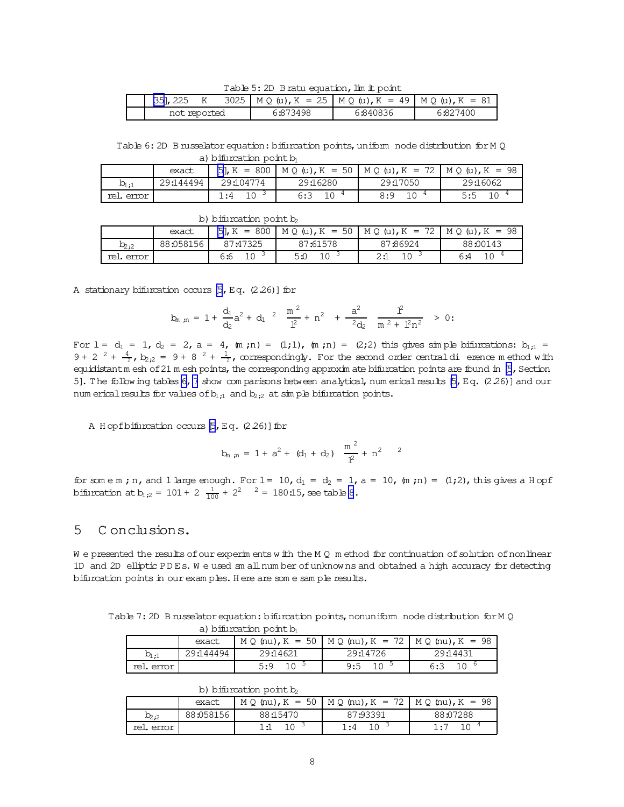Table 5: 2D Bratu equation, lim it point

<span id="page-7-0"></span>

| <b>B51, 225</b> |  | 3025   M Q (u), K = 25   M Q (u), K = 49   M Q (u), K = 81 |          |          |
|-----------------|--|------------------------------------------------------------|----------|----------|
| not reported    |  | 6:873498                                                   | 6:840836 | 6:827400 |

Table 6: 2D B russelator equation: bifurcation points, uniform node distribution for M Q a) bifurcation point  $\mathbf b$ 

|                        | a) numraculi poliic M                          |  |           |     |           |  |  |  |  |
|------------------------|------------------------------------------------|--|-----------|-----|-----------|--|--|--|--|
|                        | $M Q(u), K = 72$<br>$MO(u)$ , $K = 98$         |  |           |     |           |  |  |  |  |
| $b_{1:1}$              | 29:16280<br>29:144494<br>29:17050<br>29:104774 |  |           |     |           |  |  |  |  |
| $\cdot$ 4<br>rel error |                                                |  | 10<br>6:3 | 8:9 | 10<br>5:5 |  |  |  |  |

|           | exact     |          |          | $[5]$ , K = 800   M Q (u), K = 50   M Q (u), K = 72   M Q (u), K = 98 |          |
|-----------|-----------|----------|----------|-----------------------------------------------------------------------|----------|
| $D_{2:2}$ | 88:058156 | 87:47325 | 87:61578 | 87:86924                                                              | 88:00143 |
| rel error |           | 6:6      | 5:0      | 2:1                                                                   | 6:4      |

A stationary bifurcation occurs  $[5, Eq. (2.26)]$  for

$$
b_{m\ \, ,m}\ =\ 1\ +\ \frac{d_1}{d_2}a^2\ +\ d_1\ ^2\quad \frac{m\ ^2}{l^2}\ +\ n^2\quad +\ \frac{a^2}{2d_2}\quad \frac{l^2}{m\ ^2\ +\ l^2n^2}\quad \geq\ 0\, ;
$$

For  $1 = d_1 = 1$ ,  $d_2 = 2$ ,  $a = 4$ ,  $(m; n) = (1; 1)$ ,  $(m; n) = (2; 2)$  this gives simple bifurcations:  $b_{1;1} =$ 9 + 2  $^2$  +  $\frac{4}{2}$ ,  $b_{2,2}$  = 9 + 8  $^2$  +  $\frac{1}{2}$ , correspondingly. For the second order central diversion ethod with equidistantm esh of 21 m esh points, the corresponding approxim ate bifurcation points are found in [\[5](#page-8-0), Section 5]. The following tables 6,7 show com parisons between analytical, num erical results [\[5,](#page-8-0) Eq. (2.26)] and our num erical results for values of  $b_{1;1}$  and  $b_{2;2}$  at simple bifurcation points.

A H opf bifurcation occurs [\[5](#page-8-0), Eq. (2.26)] for

$$
b_{m, m} = 1 + a^2 + (d_1 + d_2) \frac{m^2}{l^2} + n^2
$$

for some m; n, and 1 large enough. For  $l = 10$ ,  $d_1 = d_2 = 1$ ,  $a = 10$ ,  $(m; n) = (1; 2)$ , this gives a H opf bifurcation at  $b_{1;2} = 101 + 2 \frac{1}{100} + 2^2$   $2 = 180:15$ , see table [8](#page-8-0).

# 5 C onclusions.

W e presented the results of our experim ents w ith the M  $Q$  m ethod for continuation of solution of nonlinear 1D and 2D elliptic PD Es. W e used sm allnum ber ofunknow ns and obtained a high accuracy for detecting bifurcation points in ourexam ples. H ere are som e sam ple results.

Table 7:2D Brusselator equation: bifurcation points, nonuniform node distribution for M Q a) bifurcation point b

|           | $\alpha$ , remainder point $\omega$ |          |                                                                    |          |
|-----------|-------------------------------------|----------|--------------------------------------------------------------------|----------|
|           | exact                               |          | $M Q$ (nu), $K = 50$   $M Q$ (nu), $K = 72$   $M Q$ (nu), $K = 98$ |          |
| $b_{1:1}$ | 29:144494                           | 29:14621 | 29:14726                                                           | 29:14431 |
| rel error |                                     | 5:9      | 9:5                                                                | 6:3      |

b) bifurcation point  $b_2$ 

|           | exact     |          | $M Q$ (nu), $K = 50$   $M Q$ (nu), $K = 72$   $M Q$ (nu), $K = 98$ |          |
|-----------|-----------|----------|--------------------------------------------------------------------|----------|
| $b_{2;2}$ | 88:058156 | 88:15470 | 87:93391                                                           | 88:07288 |
| rel error |           | 1:1      | 1:4                                                                |          |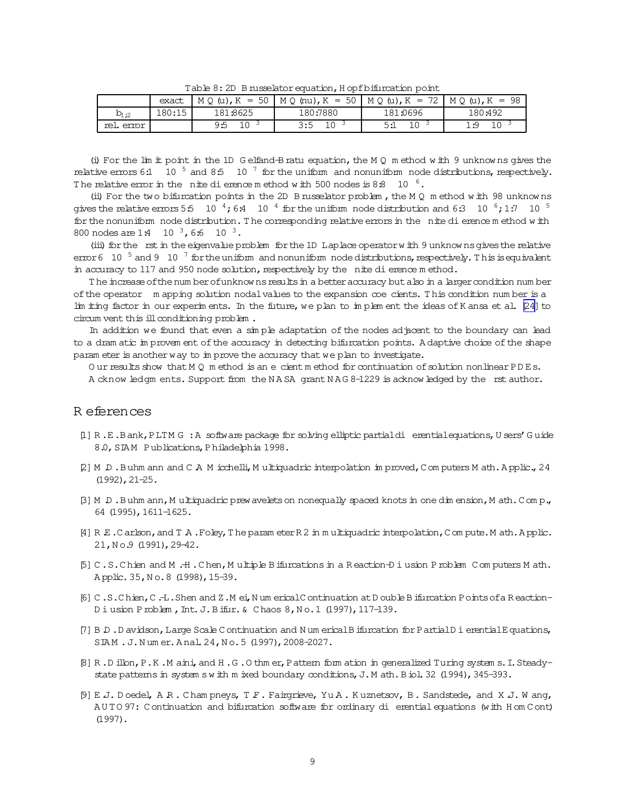<span id="page-8-0"></span>

|           | exact  | $M Q(u), K = 50$      | $MQ$ (nu), K = 50   M Q (u), K = 72   M Q (u), K = 98 |          |                 |  |  |  |  |
|-----------|--------|-----------------------|-------------------------------------------------------|----------|-----------------|--|--|--|--|
| $D_{1:2}$ | 180:15 | 181:8625              | 180:7880                                              | 181:0696 | 180:492         |  |  |  |  |
| rel error |        | 1 <sub>0</sub><br>9:5 | $1 \cap$<br>3:5                                       |          | $1 \cap$<br>1.Q |  |  |  |  |

Table 8: 2D B russelator equation, H opf bifurcation point

(i) For the lim it point in the 1D G elfand-B ratu equation, the M  $Q$  m ethod with 9 unknowns gives the relative errors 6.1 10<sup>5</sup> and 8.5 10<sup>7</sup> for the uniform and nonuniform node distributions, respectively. The relative error in the nite dierence method with 500 nodes is  $8.8 \times 10^{-6}$ .

(ii) For the two bifurcation points in the 2D B russelator problem, the M Q m ethod with 98 unknowns gives the relative errors 5.5 10  $^{4}$ , 6.4 10  $^{4}$  for the uniform node distribution and 6.3 10  $^{6}$ , 1.7 10  $^{5}$ for the nonuniform node distribution. The corresponding relative errors in the nite di erence method with 800 nodes are  $1:4$  10  $^3$ , 6:6 10  $^3$ .

(iii) for the rst in the eigenvalue problem for the 1D Laplace operator with 9 unknowns gives the relative error 6 10  $^5$  and 9 10  $^7$  for the uniform and nonuniform node distributions, respectively. This is equivalent in accuracy to 117 and 950 node solution, respectively by the nite di erence method.

The increase of the number of unknowns results in a better accuracy but also in a larger condition number of the operator mapping solution nodal values to the expansion coe cients. This condition number is a lim iting factor in our experiments. In the future, we plan to implement the ideas of K ansa et al. [24] to circum vent this ill conditioning problem.

In addition we found that even a simple adaptation of the nodes adjacent to the boundary can lead to a dram atic in provem ent of the accuracy in detecting bifurcation points. A daptive choice of the shape parameter is another way to in prove the accuracy that we plan to investigate.

Our results show that  $MQ$  m ethod is an e-cient m ethod for continuation of solution nonlinear PDEs.

A cknow ledgm ents. Support from the NASA grant NAG 8-1229 is acknow ledged by the rst author.

## R eferences

- [1] R.E.Bank, PLTM G:A software package for solving elliptic partialdi erential equations, U sers' Guide 8.0, SIAM Publications, Philadelphia 1998.
- [2] M D.Buhm ann and C A M icchelli, M ultiquadric interpolation in proved, C om puters M ath. Applic., 24  $(1992)$ ,  $21-25$ .
- [3] M D.Buhm ann, Multiquadric prew avelets on nonequally spaced knots in one dimension, Math.Comp., 64 (1995), 1611-1625.
- [4] R E.Carlson, and T A.Foley, The parameter R 2 in multiquadric interpolation, C om pute. M ath. Applic. 21, No.9 (1991), 29-42.
- [5] C.S.Chien and M.H.Chen, Multiple Bifurcations in a Reaction-D i usion Problem Computers Math. Applic. 35, No. 8 (1998), 15-39.
- [6] C.S.Chien, C.-L.Shen and Z.M ei, N um erical Continuation at D ouble B ifurcation P oints of a Reaction-Diusion Problem, Int. J. Bifur. & Chaos 8, No. 1 (1997), 117-139.
- [7] B.D., D avidson, Large Scale C ontinuation and N um erical B ifurcation for P artial D i erential E quations, SIAM. J. Numer. Anal. 24, No. 5 (1997), 2008-2027.
- [8] R.D illon, P.K.M aini, and H.G.O thm er, Pattern form ation in generalized Turing system s. I. Steadystate pattems in system swith mixed boundary conditions, J. M ath. B iol. 32 (1994), 345-393.
- [9] E.J. Doedel, A.R. Cham pneys, T.F. Fairgrieve, YuA. Kuznetsov, B. Sandstede, and X.J. Wang, AUTO 97: Continuation and bifurcation software for ordinary di erential equations (with H om Cont)  $(1997)$ .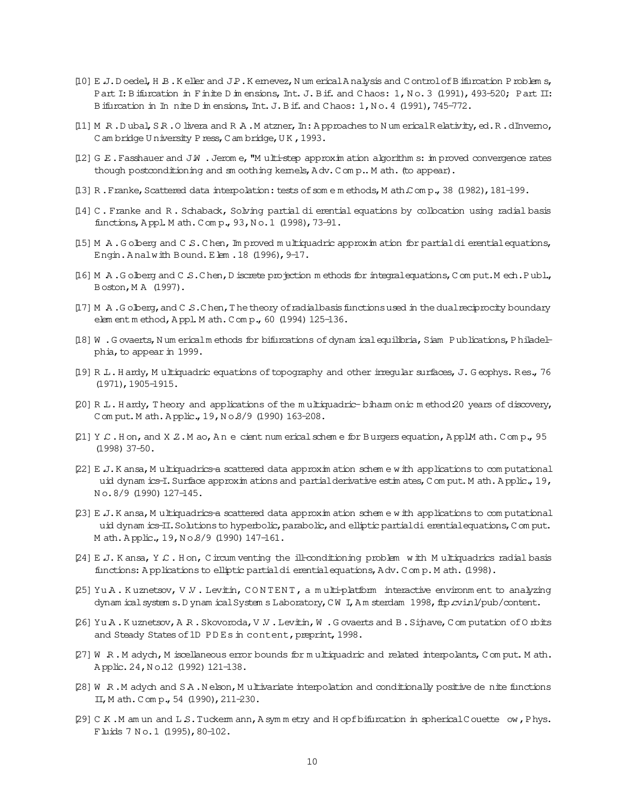- <span id="page-9-0"></span>[10] E J. D oedel, H B. K eller and JP. K emevez, N um erical A nalysis and C ontrol of B ifurcation P roblem s, Part I: Bifurcation in Finite D in ensions, Int. J. Bif. and Chaos: 1, No. 3 (1991), 493-520; Part II: Bifurcation in In nite D in ensions, Int. J. Bif. and Chaos: 1, No. 4 (1991), 745-772.
- [11] M R.Dubal, SR.O livera and R A.M atzner, In: Approaches to Num erical Relativity, ed.R.dInverno, Cam bridge University Press, Cam bridge, UK, 1993.
- $[12]$  G E. Fasshauer and JW. Jerome, "Multi-step approximation algorithms: in proved convergence rates though postconditioning and sm oothing kemels, Adv. Comp.. M ath. (to appear).
- [13] R. Franke, Scattered data interpolation: tests of some methods, Math Comp., 38 (1982), 181-199.
- [14] C. Franke and R. Schaback, Solving partial di erential equations by collocation using radial basis functions, Appl. M ath. Comp., 93, No. 1 (1998), 73-91.
- [15] M A.Golberg and C S.Chen, Improved multiquadric approximation for partial di erential equations, Engin. Analwith Bound. Elem. 18 (1996), 9-17.
- [16] M A.Golberg and C S.Chen, D iscrete projection methods for integral equations, Comput. M ech.Publ., Boston, MA (1997).
- [17] M A.G olberg, and C S.C hen, T he theory of radial basis functions used in the dual reciprocity boundary elem ent m ethod, Appl. M ath. Comp., 60 (1994) 125-136.
- [18] W . G ovaerts, N um ericalm ethods for bifurcations of dynam ical equilibria, S iam Publications, Philadelphia, to appear in 1999.
- [19] R. L. Hardy, Multiquadric equations of topography and other irregular surfaces, J. Geophys. Res., 76  $(1971)$ , 1905-1915.
- [20] R.L. Hardy, Theory and applications of the multiquadric-biham onic method 20 years of discovery, Comput. Math. Applic., 19, No.8/9 (1990) 163-208.
- [21] Y C. Hon, and X Z. M ao, An e cient num erical schem e for Burgers equation, ApplM ath. Comp., 95  $(1998)$  37-50.
- [22] E J. K ansa, M ultiquadrics-a scattered data approximation scheme with applications to computational uid dynam ics-I. Surface approxim ations and partial derivative estimates, C om put. M ath. Applic., 19, No.8/9 (1990) 127-145.
- [23] E J. K ansa, M ultiquadrics a scattered data approximation scheme with applications to computational uid dynam ics-II. Solutions to hyperbolic, parabolic, and elliptic partial di erential equations, C om put. Math. Applic., 19, No.8/9 (1990) 147-161.
- [24] E.J. Kansa, Y.C. Hon, Circum venting the ill-conditioning problem with Multiquadrics radial basis functions: Applications to elliptic partial di erential equations, Adv. Comp. Math. (1998).
- [25] Yu A. Kuznetsov, V.V. Levitin, CONTENT, a multi-platform interactive environment to analyzing dynam ical system s. D ynam ical System s Laboratory, CW I, Am sterdam 1998, ftp cvinl/pub/content.
- [26] Yu A.Kuznetsov, A.R.Skovoroda, V.V.Levitin, W.Govaerts and B.Sijnave, Computation of Orbits and Steady States of 1D PDEs in content, preprint, 1998.
- [27] W R.M adych, M iscellaneous error bounds for multiquadric and related interpolants, Comput. M ath. Applic. 24, No.12 (1992) 121-138.
- [28] W R.M adych and SA.Nelson, Multivariate interpolation and conditionally positive de nite functions II, Math. Comp., 54 (1990), 211-230.
- [29] C K.M am un and L S. Tuckerm ann, A symmetry and Hopf bifurcation in spherical Couette ow, Phys. Fluids 7 No. 1 (1995), 80-102.